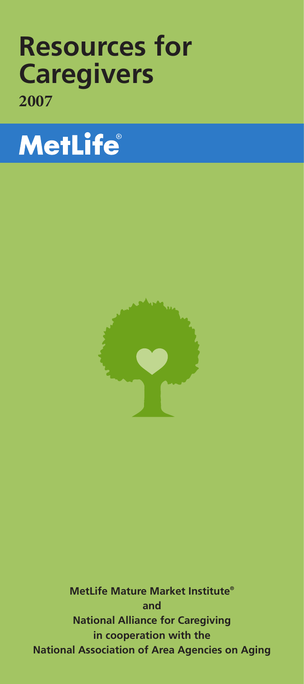# **Resources for Caregivers 2007**

# **MetLife**®



**MetLife Mature Market Institute® and National Alliance for Caregiving in cooperation with the National Association of Area Agencies on Aging**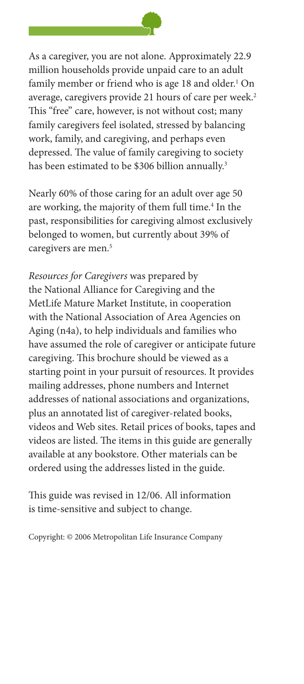

As a caregiver, you are not alone. Approximately 22.9 million households provide unpaid care to an adult family member or friend who is age 18 and older.<sup>1</sup> On average, caregivers provide 21 hours of care per week.<sup>2</sup> This "free" care, however, is not without cost; many family caregivers feel isolated, stressed by balancing work, family, and caregiving, and perhaps even depressed. The value of family caregiving to society has been estimated to be \$306 billion annually.<sup>3</sup>

Nearly 60% of those caring for an adult over age 50 are working, the majority of them full time.<sup>4</sup> In the past, responsibilities for caregiving almost exclusively belonged to women, but currently about 39% of caregivers are men.<sup>5</sup>

*Resources for Caregivers* was prepared by the National Alliance for Caregiving and the MetLife Mature Market Institute, in cooperation with the National Association of Area Agencies on Aging (n4a), to help individuals and families who have assumed the role of caregiver or anticipate future caregiving. This brochure should be viewed as a starting point in your pursuit of resources. It provides mailing addresses, phone numbers and Internet addresses of national associations and organizations, plus an annotated list of caregiver-related books, videos and Web sites. Retail prices of books, tapes and videos are listed. The items in this guide are generally available at any bookstore. Other materials can be ordered using the addresses listed in the guide.

This guide was revised in 12/06. All information is time-sensitive and subject to change.

Copyright: © 2006 Metropolitan Life Insurance Company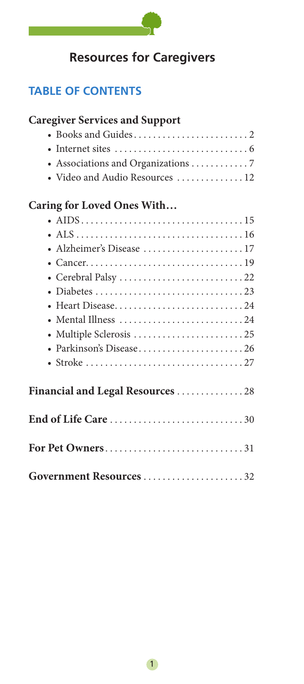

# **Resources for Caregivers**

# **TABLE OF CONTENTS**

 $\mathcal{L}(\mathcal{L})$ 

| <b>Caregiver Services and Support</b> |
|---------------------------------------|
|                                       |
|                                       |
| • Associations and Organizations 7    |
| · Video and Audio Resources  12       |
| Caring for Loved Ones With            |
|                                       |
|                                       |
|                                       |
|                                       |
|                                       |
|                                       |
| • Heart Disease24                     |
| • Mental Illness 24                   |
| • Multiple Sclerosis 25               |
| • Parkinson's Disease26               |
|                                       |
| Financial and Legal Resources 28      |
|                                       |
| For Pet Owners31                      |
| Government Resources32                |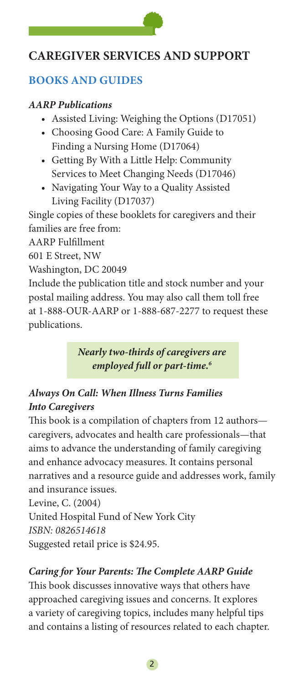# **CAREGIVER SERVICES AND SUPPORT**

# **Books and Guides**

#### *AARP Publications*

- Assisted Living: Weighing the Options (D17051)
- Choosing Good Care: A Family Guide to Finding a Nursing Home (D17064)
- Getting By With a Little Help: Community Services to Meet Changing Needs (D17046)
- Navigating Your Way to a Quality Assisted Living Facility (D17037)

Single copies of these booklets for caregivers and their families are free from:

AARP Fulfillment

601 E Street, NW

Washington, DC 20049

Include the publication title and stock number and your postal mailing address. You may also call them toll free at 1-888-OUR-AARP or 1-888-687-2277 to request these publications.

> *Nearly two-thirds of caregivers are employed full or part-time.6*

# *Always On Call: When Illness Turns Families Into Caregivers*

This book is a compilation of chapters from 12 authors caregivers, advocates and health care professionals—that aims to advance the understanding of family caregiving and enhance advocacy measures. It contains personal narratives and a resource guide and addresses work, family and insurance issues.

Levine, C. (2004) United Hospital Fund of New York City *ISBN: 0826514618* Suggested retail price is \$24.95.

# *Caring for Your Parents: The Complete AARP Guide*

This book discusses innovative ways that others have approached caregiving issues and concerns. It explores a variety of caregiving topics, includes many helpful tips and contains a listing of resources related to each chapter.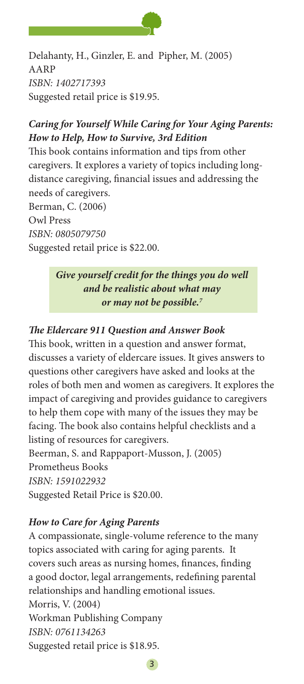

Delahanty, H., Ginzler, E. and Pipher, M. (2005) AARP *ISBN: 1402717393*  Suggested retail price is \$19.95.

# *Caring for Yourself While Caring for Your Aging Parents: How to Help, How to Survive, 3rd Edition*

This book contains information and tips from other caregivers. It explores a variety of topics including longdistance caregiving, financial issues and addressing the needs of caregivers. Berman, C. (2006) Owl Press

*ISBN: 0805079750*

Suggested retail price is \$22.00.

# *Give yourself credit for the things you do well and be realistic about what may or may not be possible.7*

# *The Eldercare 911 Question and Answer Book*

This book, written in a question and answer format, discusses a variety of eldercare issues. It gives answers to questions other caregivers have asked and looks at the roles of both men and women as caregivers. It explores the impact of caregiving and provides guidance to caregivers to help them cope with many of the issues they may be facing. The book also contains helpful checklists and a listing of resources for caregivers.

Beerman, S. and Rappaport-Musson, J. (2005) Prometheus Books

*ISBN: 1591022932* 

Suggested Retail Price is \$20.00.

# *How to Care for Aging Parents*

A compassionate, single-volume reference to the many topics associated with caring for aging parents. It covers such areas as nursing homes, finances, finding a good doctor, legal arrangements, redefining parental relationships and handling emotional issues. Morris, V. (2004) Workman Publishing Company *ISBN: 0761134263* Suggested retail price is \$18.95.

3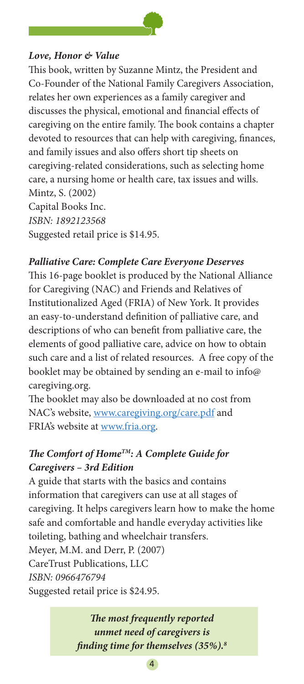# *Love, Honor & Value*

This book, written by Suzanne Mintz, the President and Co-Founder of the National Family Caregivers Association, relates her own experiences as a family caregiver and discusses the physical, emotional and financial effects of caregiving on the entire family. The book contains a chapter devoted to resources that can help with caregiving, finances, and family issues and also offers short tip sheets on caregiving-related considerations, such as selecting home care, a nursing home or health care, tax issues and wills. Mintz, S. (2002) Capital Books Inc. *ISBN: 1892123568* Suggested retail price is \$14.95.

#### *Palliative Care: Complete Care Everyone Deserves*

This 16-page booklet is produced by the National Alliance for Caregiving (NAC) and Friends and Relatives of Institutionalized Aged (FRIA) of New York. It provides an easy-to-understand definition of palliative care, and descriptions of who can benefit from palliative care, the elements of good palliative care, advice on how to obtain such care and a list of related resources. A free copy of the booklet may be obtained by sending an e-mail to info@ caregiving.org.

The booklet may also be downloaded at no cost from NAC's website, www.caregiving.org/care.pdf and FRIA's website at www.fria.org.

# *The Comfort of HomeTM: A Complete Guide for Caregivers – 3rd Edition*

A guide that starts with the basics and contains information that caregivers can use at all stages of caregiving. It helps caregivers learn how to make the home safe and comfortable and handle everyday activities like toileting, bathing and wheelchair transfers. Meyer, M.M. and Derr, P. (2007) CareTrust Publications, LLC *ISBN: 0966476794* Suggested retail price is \$24.95.

> *The most frequently reported unmet need of caregivers is finding time for themselves (35%).8*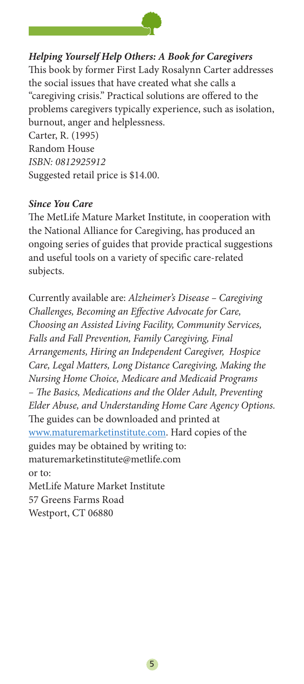

# *Helping Yourself Help Others: A Book for Caregivers*

This book by former First Lady Rosalynn Carter addresses the social issues that have created what she calls a "caregiving crisis." Practical solutions are offered to the problems caregivers typically experience, such as isolation, burnout, anger and helplessness. Carter, R. (1995) Random House

*ISBN: 0812925912* Suggested retail price is \$14.00.

#### *Since You Care*

The MetLife Mature Market Institute, in cooperation with the National Alliance for Caregiving, has produced an ongoing series of guides that provide practical suggestions and useful tools on a variety of specific care-related subjects.

Currently available are: *Alzheimer's Disease – Caregiving Challenges, Becoming an Effective Advocate for Care, Choosing an Assisted Living Facility, Community Services, Falls and Fall Prevention, Family Caregiving, Final Arrangements, Hiring an Independent Caregiver, Hospice Care, Legal Matters, Long Distance Caregiving, Making the Nursing Home Choice, Medicare and Medicaid Programs – The Basics, Medications and the Older Adult, Preventing Elder Abuse, and Understanding Home Care Agency Options.*  The guides can be downloaded and printed at www.maturemarketinstitute.com. Hard copies of the guides may be obtained by writing to: maturemarketinstitute@metlife.com or to: MetLife Mature Market Institute 57 Greens Farms Road Westport, CT 06880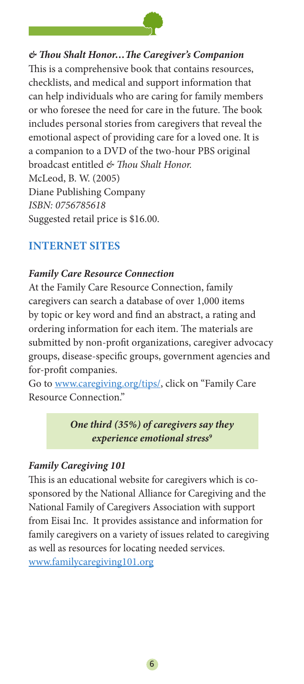

*& Thou Shalt Honor…The Caregiver's Companion* This is a comprehensive book that contains resources, checklists, and medical and support information that can help individuals who are caring for family members or who foresee the need for care in the future. The book includes personal stories from caregivers that reveal the emotional aspect of providing care for a loved one. It is a companion to a DVD of the two-hour PBS original broadcast entitled *& Thou Shalt Honor.* McLeod, B. W. (2005) Diane Publishing Company *ISBN: 0756785618* Suggested retail price is \$16.00.

# **Internet sites**

#### *Family Care Resource Connection*

At the Family Care Resource Connection, family caregivers can search a database of over 1,000 items by topic or key word and find an abstract, a rating and ordering information for each item. The materials are submitted by non-profit organizations, caregiver advocacy groups, disease-specific groups, government agencies and for-profit companies.

Go to www.caregiving.org/tips/, click on "Family Care Resource Connection."

> *One third (35%) of caregivers say they experience emotional stress9*

#### *Family Caregiving 101*

This is an educational website for caregivers which is cosponsored by the National Alliance for Caregiving and the National Family of Caregivers Association with support from Eisai Inc. It provides assistance and information for family caregivers on a variety of issues related to caregiving as well as resources for locating needed services. www.familycaregiving101.org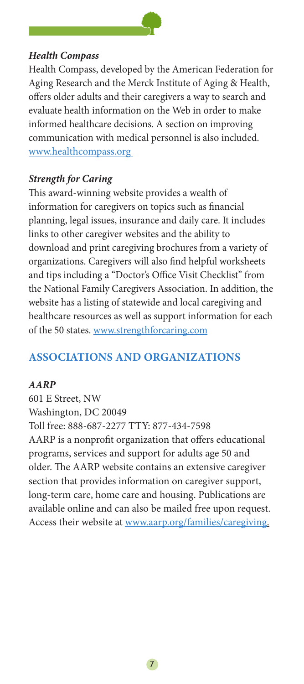

# *Health Compass*

Health Compass, developed by the American Federation for Aging Research and the Merck Institute of Aging & Health, offers older adults and their caregivers a way to search and evaluate health information on the Web in order to make informed healthcare decisions. A section on improving communication with medical personnel is also included. www.healthcompass.org

#### *Strength for Caring*

This award-winning website provides a wealth of information for caregivers on topics such as financial planning, legal issues, insurance and daily care. It includes links to other caregiver websites and the ability to download and print caregiving brochures from a variety of organizations. Caregivers will also find helpful worksheets and tips including a "Doctor's Office Visit Checklist" from the National Family Caregivers Association. In addition, the website has a listing of statewide and local caregiving and healthcare resources as well as support information for each of the 50 states. www.strengthforcaring.com

# **Associations and Organizations**

#### *AARP*

601 E Street, NW Washington, DC 20049 Toll free: 888-687-2277 TTY: 877-434-7598 AARP is a nonprofit organization that offers educational programs, services and support for adults age 50 and older. The AARP website contains an extensive caregiver section that provides information on caregiver support, long-term care, home care and housing. Publications are available online and can also be mailed free upon request. Access their website at www.aarp.org/families/caregiving.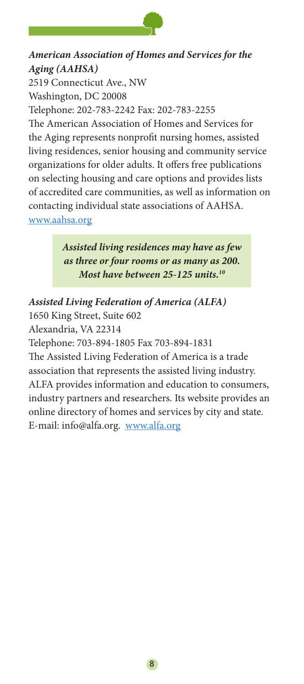

# *American Association of Homes and Services for the Aging (AAHSA)* 2519 Connecticut Ave., NW

Washington, DC 20008 Telephone: 202-783-2242 Fax: 202-783-2255 The American Association of Homes and Services for the Aging represents nonprofit nursing homes, assisted living residences, senior housing and community service organizations for older adults. It offers free publications on selecting housing and care options and provides lists of accredited care communities, as well as information on contacting individual state associations of AAHSA. www.aahsa.org

> *Assisted living residences may have as few as three or four rooms or as many as 200. Most have between 25-125 units.10*

*Assisted Living Federation of America (ALFA)* 1650 King Street, Suite 602 Alexandria, VA 22314 Telephone: 703-894-1805 Fax 703-894-1831 The Assisted Living Federation of America is a trade association that represents the assisted living industry. ALFA provides information and education to consumers, industry partners and researchers. Its website provides an online directory of homes and services by city and state. E-mail: info@alfa.org. www.alfa.org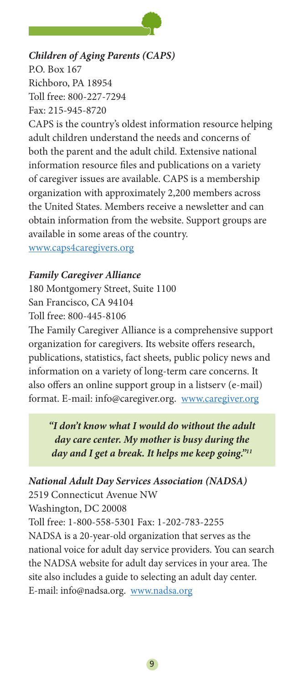

#### *Children of Aging Parents (CAPS)* P.O. Box 167

Richboro, PA 18954 Toll free: 800-227-7294 Fax: 215-945-8720

CAPS is the country's oldest information resource helping adult children understand the needs and concerns of both the parent and the adult child. Extensive national information resource files and publications on a variety of caregiver issues are available. CAPS is a membership organization with approximately 2,200 members across the United States. Members receive a newsletter and can obtain information from the website. Support groups are available in some areas of the country. www.caps4caregivers.org

#### *Family Caregiver Alliance*

180 Montgomery Street, Suite 1100 San Francisco, CA 94104 Toll free: 800-445-8106

The Family Caregiver Alliance is a comprehensive support organization for caregivers. Its website offers research, publications, statistics, fact sheets, public policy news and information on a variety of long-term care concerns. It also offers an online support group in a listserv (e-mail) format. E-mail: info@caregiver.org. www.caregiver.org

*"I don't know what I would do without the adult day care center. My mother is busy during the day and I get a break. It helps me keep going."11*

#### *National Adult Day Services Association (NADSA)*

2519 Connecticut Avenue NW Washington, DC 20008 Toll free: 1-800-558-5301 Fax: 1-202-783-2255 NADSA is a 20-year-old organization that serves as the national voice for adult day service providers. You can search the NADSA website for adult day services in your area. The site also includes a guide to selecting an adult day center. E-mail: info@nadsa.org. www.nadsa.org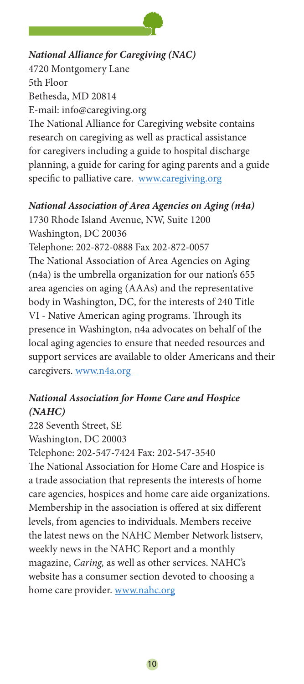

#### *National Alliance for Caregiving (NAC)*

4720 Montgomery Lane 5th Floor Bethesda, MD 20814 E-mail: info@caregiving.org

The National Alliance for Caregiving website contains research on caregiving as well as practical assistance for caregivers including a guide to hospital discharge planning, a guide for caring for aging parents and a guide specific to palliative care. www.caregiving.org

#### *National Association of Area Agencies on Aging (n4a)*

1730 Rhode Island Avenue, NW, Suite 1200 Washington, DC 20036 Telephone: 202-872-0888 Fax 202-872-0057 The National Association of Area Agencies on Aging (n4a) is the umbrella organization for our nation's 655 area agencies on aging (AAAs) and the representative body in Washington, DC, for the interests of 240 Title VI - Native American aging programs. Through its presence in Washington, n4a advocates on behalf of the local aging agencies to ensure that needed resources and support services are available to older Americans and their caregivers. www.n4a.org

# *National Association for Home Care and Hospice (NAHC)*

228 Seventh Street, SE Washington, DC 20003 Telephone: 202-547-7424 Fax: 202-547-3540 The National Association for Home Care and Hospice is a trade association that represents the interests of home care agencies, hospices and home care aide organizations. Membership in the association is offered at six different levels, from agencies to individuals. Members receive the latest news on the NAHC Member Network listserv, weekly news in the NAHC Report and a monthly magazine, *Caring,* as well as other services. NAHC's website has a consumer section devoted to choosing a home care provider. www.nahc.org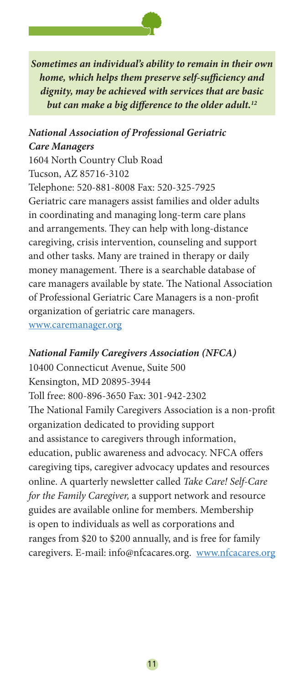

*Sometimes an individual's ability to remain in their own home, which helps them preserve self-sufficiency and dignity, may be achieved with services that are basic but can make a big difference to the older adult.12*

#### *National Association of Professional Geriatric Care Managers*

1604 North Country Club Road Tucson, AZ 85716-3102 Telephone: 520-881-8008 Fax: 520-325-7925 Geriatric care managers assist families and older adults in coordinating and managing long-term care plans and arrangements. They can help with long-distance caregiving, crisis intervention, counseling and support and other tasks. Many are trained in therapy or daily money management. There is a searchable database of care managers available by state. The National Association of Professional Geriatric Care Managers is a non-profit organization of geriatric care managers. www.caremanager.org

#### *National Family Caregivers Association (NFCA)*

10400 Connecticut Avenue, Suite 500 Kensington, MD 20895-3944 Toll free: 800-896-3650 Fax: 301-942-2302 The National Family Caregivers Association is a non-profit organization dedicated to providing support and assistance to caregivers through information, education, public awareness and advocacy. NFCA offers caregiving tips, caregiver advocacy updates and resources online. A quarterly newsletter called *Take Care! Self-Care for the Family Caregiver,* a support network and resource guides are available online for members. Membership is open to individuals as well as corporations and ranges from \$20 to \$200 annually, and is free for family caregivers. E-mail: info@nfcacares.org. www.nfcacares.org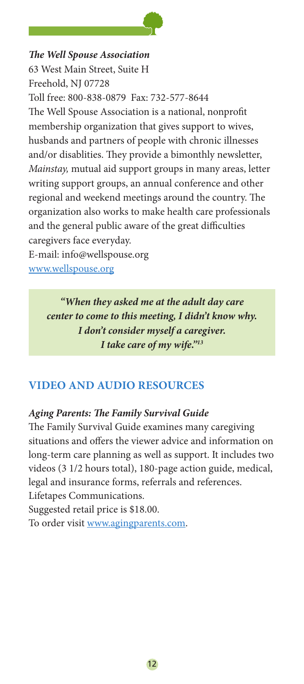

#### *The Well Spouse Association*

63 West Main Street, Suite H Freehold, NJ 07728 Toll free: 800-838-0879 Fax: 732-577-8644 The Well Spouse Association is a national, nonprofit membership organization that gives support to wives, husbands and partners of people with chronic illnesses and/or disablities. They provide a bimonthly newsletter, *Mainstay,* mutual aid support groups in many areas, letter writing support groups, an annual conference and other regional and weekend meetings around the country. The organization also works to make health care professionals and the general public aware of the great difficulties caregivers face everyday.

E-mail: info@wellspouse.org www.wellspouse.org

> *"When they asked me at the adult day care center to come to this meeting, I didn't know why. I don't consider myself a caregiver. I take care of my wife."13*

# **Video and audio Resources**

#### *Aging Parents: The Family Survival Guide*

The Family Survival Guide examines many caregiving situations and offers the viewer advice and information on long-term care planning as well as support. It includes two videos (3 1/2 hours total), 180-page action guide, medical, legal and insurance forms, referrals and references. Lifetapes Communications. Suggested retail price is \$18.00.

To order visit www.agingparents.com.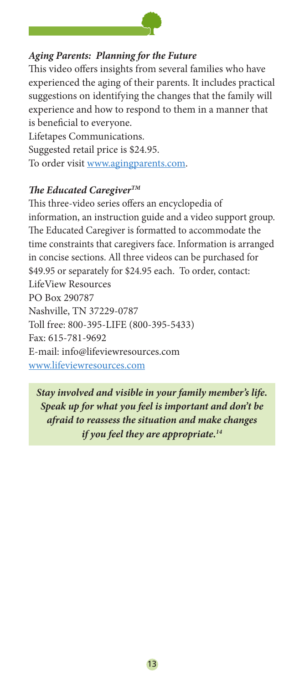

#### *Aging Parents: Planning for the Future*

This video offers insights from several families who have experienced the aging of their parents. It includes practical suggestions on identifying the changes that the family will experience and how to respond to them in a manner that is beneficial to everyone. Lifetapes Communications.

Suggested retail price is \$24.95. To order visit www.agingparents.com.

#### *The Educated CaregiverTM*

This three-video series offers an encyclopedia of information, an instruction guide and a video support group. The Educated Caregiver is formatted to accommodate the time constraints that caregivers face. Information is arranged in concise sections. All three videos can be purchased for \$49.95 or separately for \$24.95 each. To order, contact: LifeView Resources PO Box 290787 Nashville, TN 37229-0787 Toll free: 800-395-LIFE (800-395-5433) Fax: 615-781-9692 E-mail: info@lifeviewresources.com www.lifeviewresources.com

*Stay involved and visible in your family member's life. Speak up for what you feel is important and don't be afraid to reassess the situation and make changes if you feel they are appropriate.14*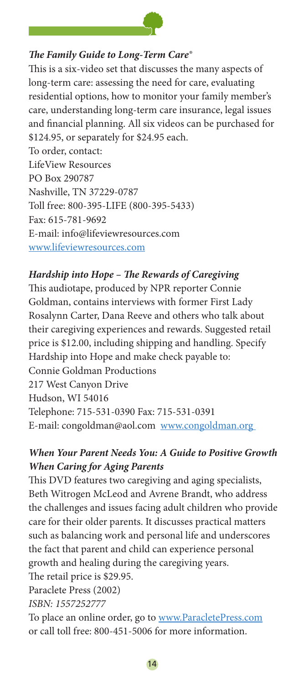

#### *The Family Guide to Long-Term Care®*

This is a six-video set that discusses the many aspects of long-term care: assessing the need for care, evaluating residential options, how to monitor your family member's care, understanding long-term care insurance, legal issues and financial planning. All six videos can be purchased for \$124.95, or separately for \$24.95 each. To order, contact: LifeView Resources PO Box 290787 Nashville, TN 37229-0787 Toll free: 800-395-LIFE (800-395-5433) Fax: 615-781-9692 E-mail: info@lifeviewresources.com www.lifeviewresources.com

#### *Hardship into Hope – The Rewards of Caregiving*

This audiotape, produced by NPR reporter Connie Goldman, contains interviews with former First Lady Rosalynn Carter, Dana Reeve and others who talk about their caregiving experiences and rewards. Suggested retail price is \$12.00, including shipping and handling. Specify Hardship into Hope and make check payable to: Connie Goldman Productions 217 West Canyon Drive Hudson, WI 54016 Telephone: 715-531-0390 Fax: 715-531-0391 E-mail: congoldman@aol.com www.congoldman.org

# *When Your Parent Needs You: A Guide to Positive Growth When Caring for Aging Parents*

This DVD features two caregiving and aging specialists, Beth Witrogen McLeod and Avrene Brandt, who address the challenges and issues facing adult children who provide care for their older parents. It discusses practical matters such as balancing work and personal life and underscores the fact that parent and child can experience personal growth and healing during the caregiving years. The retail price is \$29.95.

Paraclete Press (2002)

*ISBN: 1557252777*

To place an online order, go to www.ParacletePress.com or call toll free: 800-451-5006 for more information.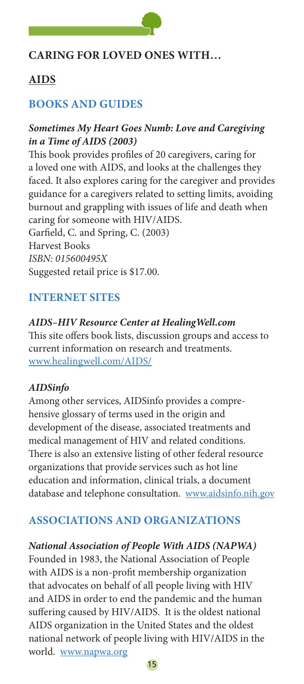

# **Caring for loved ones with…**

# **AIDS**

# **Books and Guides**

#### *Sometimes My Heart Goes Numb: Love and Caregiving in a Time of AIDS (2003)*

This book provides profiles of 20 caregivers, caring for a loved one with AIDS, and looks at the challenges they faced. It also explores caring for the caregiver and provides guidance for a caregivers related to setting limits, avoiding burnout and grappling with issues of life and death when caring for someone with HIV/AIDS. Garfield, C. and Spring, C. (2003) Harvest Books

*ISBN: 015600495X*

Suggested retail price is \$17.00.

# **Internet sites**

#### *AIDS–HIV Resource Center at HealingWell.com*

This site offers book lists, discussion groups and access to current information on research and treatments. www.healingwell.com/AIDS/

#### *AIDSinfo*

Among other services, AIDSinfo provides a comprehensive glossary of terms used in the origin and development of the disease, associated treatments and medical management of HIV and related conditions. There is also an extensive listing of other federal resource organizations that provide services such as hot line education and information, clinical trials, a document database and telephone consultation. www.aidsinfo.nih.gov

# **Associations and Organizations**

#### *National Association of People With AIDS (NAPWA)*

Founded in 1983, the National Association of People with AIDS is a non-profit membership organization that advocates on behalf of all people living with HIV and AIDS in order to end the pandemic and the human suffering caused by HIV/AIDS. It is the oldest national AIDS organization in the United States and the oldest national network of people living with HIV/AIDS in the world. www.napwa.org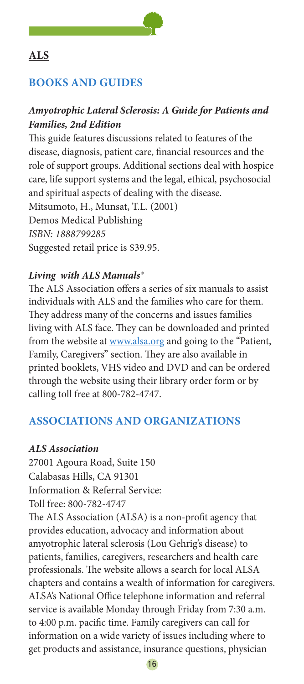

# **ALS**

# **Books and Guides**

# *Amyotrophic Lateral Sclerosis: A Guide for Patients and Families, 2nd Edition*

This guide features discussions related to features of the disease, diagnosis, patient care, financial resources and the role of support groups. Additional sections deal with hospice care, life support systems and the legal, ethical, psychosocial and spiritual aspects of dealing with the disease. Mitsumoto, H., Munsat, T.L. (2001) Demos Medical Publishing *ISBN: 1888799285* Suggested retail price is \$39.95.

# *Living with ALS Manuals®*

The ALS Association offers a series of six manuals to assist individuals with ALS and the families who care for them. They address many of the concerns and issues families living with ALS face. They can be downloaded and printed from the website at www.alsa.org and going to the "Patient, Family, Caregivers" section. They are also available in printed booklets, VHS video and DVD and can be ordered through the website using their library order form or by calling toll free at 800-782-4747.

# **Associations and Organizations**

# *ALS Association*

27001 Agoura Road, Suite 150 Calabasas Hills, CA 91301 Information & Referral Service:

Toll free: 800-782-4747

The ALS Association (ALSA) is a non-profit agency that provides education, advocacy and information about amyotrophic lateral sclerosis (Lou Gehrig's disease) to patients, families, caregivers, researchers and health care professionals. The website allows a search for local ALSA chapters and contains a wealth of information for caregivers. ALSA's National Office telephone information and referral service is available Monday through Friday from 7:30 a.m. to 4:00 p.m. pacific time. Family caregivers can call for information on a wide variety of issues including where to get products and assistance, insurance questions, physician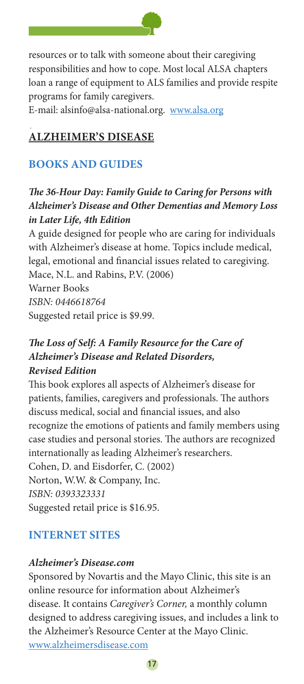

resources or to talk with someone about their caregiving responsibilities and how to cope. Most local ALSA chapters loan a range of equipment to ALS families and provide respite programs for family caregivers.

E-mail: alsinfo@alsa-national.org. www.alsa.org

# **ALzheimer's disease**

# **Books and Guides**

# *The 36-Hour Day: Family Guide to Caring for Persons with Alzheimer's Disease and Other Dementias and Memory Loss in Later Life, 4th Edition*

A guide designed for people who are caring for individuals with Alzheimer's disease at home. Topics include medical, legal, emotional and financial issues related to caregiving. Mace, N.L. and Rabins, P.V. (2006) Warner Books *ISBN: 0446618764* Suggested retail price is \$9.99.

# *The Loss of Self: A Family Resource for the Care of Alzheimer's Disease and Related Disorders, Revised Edition*

This book explores all aspects of Alzheimer's disease for patients, families, caregivers and professionals. The authors discuss medical, social and financial issues, and also recognize the emotions of patients and family members using case studies and personal stories. The authors are recognized internationally as leading Alzheimer's researchers. Cohen, D. and Eisdorfer, C. (2002) Norton, W.W. & Company, Inc.

*ISBN: 0393323331*

Suggested retail price is \$16.95.

# **Internet Sites**

# *Alzheimer's Disease.com*

Sponsored by Novartis and the Mayo Clinic, this site is an online resource for information about Alzheimer's disease. It contains *Caregiver's Corner,* a monthly column designed to address caregiving issues, and includes a link to the Alzheimer's Resource Center at the Mayo Clinic. www.alzheimersdisease.com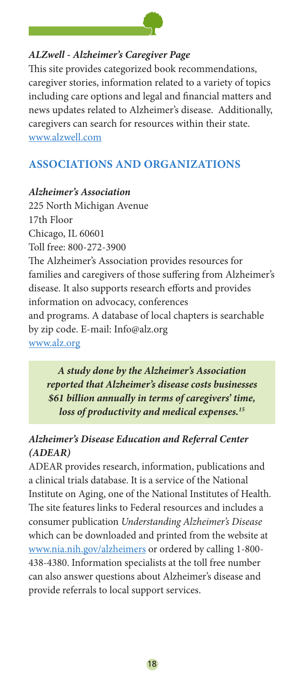

#### *ALZwell - Alzheimer's Caregiver Page*

This site provides categorized book recommendations, caregiver stories, information related to a variety of topics including care options and legal and financial matters and news updates related to Alzheimer's disease. Additionally, caregivers can search for resources within their state. www.alzwell.com

# **Associations and Organizations**

#### *Alzheimer's Association*

225 North Michigan Avenue 17th Floor Chicago, IL 60601 Toll free: 800-272-3900 The Alzheimer's Association provides resources for families and caregivers of those suffering from Alzheimer's disease. It also supports research efforts and provides information on advocacy, conferences and programs. A database of local chapters is searchable by zip code. E-mail: Info@alz.org www.alz.org

*A study done by the Alzheimer's Association reported that Alzheimer's disease costs businesses \$61 billion annually in terms of caregivers' time, loss of productivity and medical expenses.15*

# *Alzheimer's Disease Education and Referral Center (ADEAR)*

ADEAR provides research, information, publications and a clinical trials database. It is a service of the National Institute on Aging, one of the National Institutes of Health. The site features links to Federal resources and includes a consumer publication *Understanding Alzheimer's Disease*  which can be downloaded and printed from the website at www.nia.nih.gov/alzheimers or ordered by calling 1-800- 438-4380. Information specialists at the toll free number can also answer questions about Alzheimer's disease and provide referrals to local support services.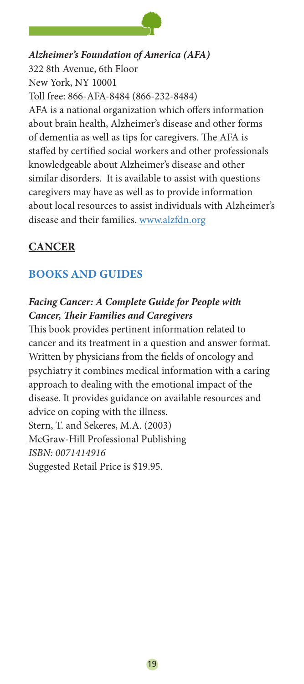

*Alzheimer's Foundation of America (AFA)* 322 8th Avenue, 6th Floor New York, NY 10001 Toll free: 866-AFA-8484 (866-232-8484) AFA is a national organization which offers information about brain health, Alzheimer's disease and other forms of dementia as well as tips for caregivers. The AFA is staffed by certified social workers and other professionals knowledgeable about Alzheimer's disease and other similar disorders. It is available to assist with questions caregivers may have as well as to provide information about local resources to assist individuals with Alzheimer's disease and their families. www.alzfdn.org

# **CANCER**

# **Books and Guides**

# *Facing Cancer: A Complete Guide for People with Cancer, Their Families and Caregivers*

This book provides pertinent information related to cancer and its treatment in a question and answer format. Written by physicians from the fields of oncology and psychiatry it combines medical information with a caring approach to dealing with the emotional impact of the disease. It provides guidance on available resources and advice on coping with the illness. Stern, T. and Sekeres, M.A. (2003) McGraw-Hill Professional Publishing *ISBN: 0071414916* Suggested Retail Price is \$19.95.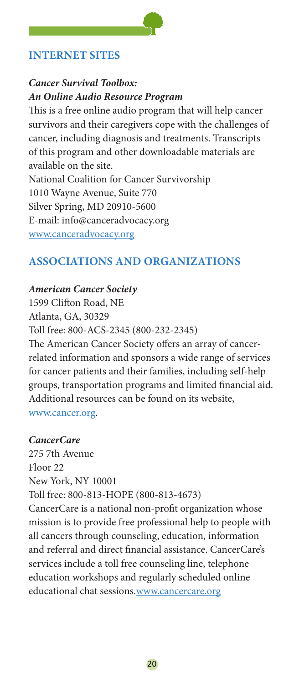# **internet sites**

#### *Cancer Survival Toolbox: An Online Audio Resource Program*

This is a free online audio program that will help cancer survivors and their caregivers cope with the challenges of cancer, including diagnosis and treatments. Transcripts of this program and other downloadable materials are available on the site. National Coalition for Cancer Survivorship 1010 Wayne Avenue, Suite 770 Silver Spring, MD 20910-5600 E-mail: info@canceradvocacy.org

www.canceradvocacy.org

# **Associations and Organizations**

#### *American Cancer Society*

1599 Clifton Road, NE Atlanta, GA, 30329 Toll free: 800-ACS-2345 (800-232-2345) The American Cancer Society offers an array of cancerrelated information and sponsors a wide range of services for cancer patients and their families, including self-help groups, transportation programs and limited financial aid. Additional resources can be found on its website, www.cancer.org.

#### *CancerCare*

275 7th Avenue Floor 22 New York, NY 10001 Toll free: 800-813-HOPE (800-813-4673) CancerCare is a national non-profit organization whose mission is to provide free professional help to people with all cancers through counseling, education, information and referral and direct financial assistance. CancerCare's services include a toll free counseling line, telephone education workshops and regularly scheduled online educational chat sessions.www.cancercare.org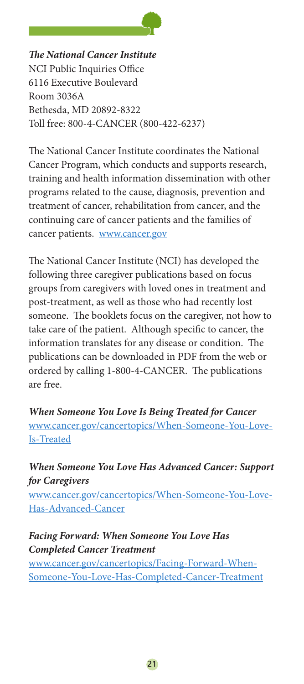

*The National Cancer Institute* NCI Public Inquiries Office 6116 Executive Boulevard Room 3036A Bethesda, MD 20892-8322 Toll free: 800-4-CANCER (800-422-6237)

The National Cancer Institute coordinates the National Cancer Program, which conducts and supports research, training and health information dissemination with other programs related to the cause, diagnosis, prevention and treatment of cancer, rehabilitation from cancer, and the continuing care of cancer patients and the families of cancer patients. www.cancer.gov

The National Cancer Institute (NCI) has developed the following three caregiver publications based on focus groups from caregivers with loved ones in treatment and post-treatment, as well as those who had recently lost someone. The booklets focus on the caregiver, not how to take care of the patient. Although specific to cancer, the information translates for any disease or condition. The publications can be downloaded in PDF from the web or ordered by calling 1-800-4-CANCER. The publications are free.

*When Someone You Love Is Being Treated for Cancer* www.cancer.gov/cancertopics/When-Someone-You-Love-Is-Treated

*When Someone You Love Has Advanced Cancer: Support for Caregivers* www.cancer.gov/cancertopics/When-Someone-You-Love-Has-Advanced-Cancer

# *Facing Forward: When Someone You Love Has Completed Cancer Treatment*

www.cancer.gov/cancertopics/Facing-Forward-When-Someone-You-Love-Has-Completed-Cancer-Treatment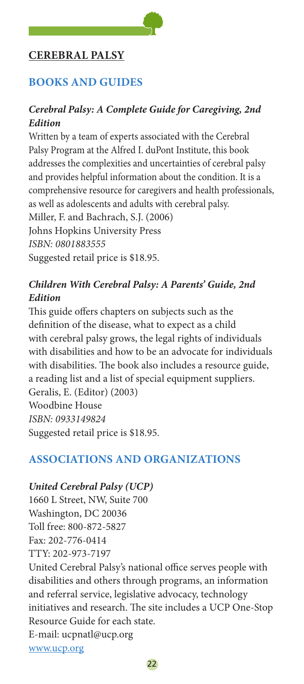# **Cerebral Palsy**

# **Books and Guides**

### *Cerebral Palsy: A Complete Guide for Caregiving, 2nd Edition*

Written by a team of experts associated with the Cerebral Palsy Program at the Alfred I. duPont Institute, this book addresses the complexities and uncertainties of cerebral palsy and provides helpful information about the condition. It is a comprehensive resource for caregivers and health professionals, as well as adolescents and adults with cerebral palsy. Miller, F. and Bachrach, S.J. (2006) Johns Hopkins University Press *ISBN: 0801883555* Suggested retail price is \$18.95.

# *Children With Cerebral Palsy: A Parents' Guide, 2nd Edition*

This guide offers chapters on subjects such as the definition of the disease, what to expect as a child with cerebral palsy grows, the legal rights of individuals with disabilities and how to be an advocate for individuals with disabilities. The book also includes a resource guide, a reading list and a list of special equipment suppliers. Geralis, E. (Editor) (2003) Woodbine House *ISBN: 0933149824* Suggested retail price is \$18.95.

# **Associations and Organizations**

#### *United Cerebral Palsy (UCP)*

1660 L Street, NW, Suite 700 Washington, DC 20036 Toll free: 800-872-5827 Fax: 202-776-0414 TTY: 202-973-7197 United Cerebral Palsy's national office serves people with disabilities and others through programs, an information and referral service, legislative advocacy, technology initiatives and research. The site includes a UCP One-Stop Resource Guide for each state. E-mail: ucpnatl@ucp.org www.ucp.org

22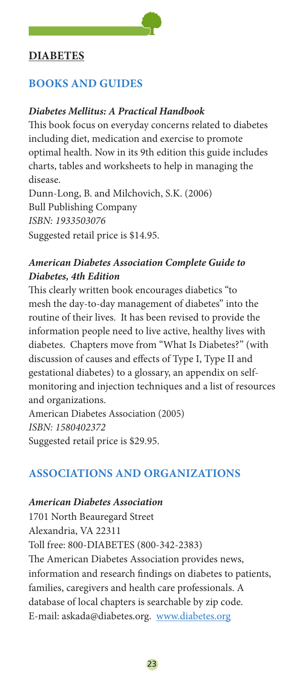# **DIABETES**

# **Books and Guides**

# *Diabetes Mellitus: A Practical Handbook*

This book focus on everyday concerns related to diabetes including diet, medication and exercise to promote optimal health. Now in its 9th edition this guide includes charts, tables and worksheets to help in managing the disease.

Dunn-Long, B. and Milchovich, S.K. (2006) Bull Publishing Company *ISBN: 1933503076* Suggested retail price is \$14.95.

#### *American Diabetes Association Complete Guide to Diabetes, 4th Edition*

This clearly written book encourages diabetics "to mesh the day-to-day management of diabetes" into the routine of their lives. It has been revised to provide the information people need to live active, healthy lives with diabetes. Chapters move from "What Is Diabetes?" (with discussion of causes and effects of Type I, Type II and gestational diabetes) to a glossary, an appendix on selfmonitoring and injection techniques and a list of resources and organizations.

American Diabetes Association (2005) *ISBN: 1580402372* Suggested retail price is \$29.95.

#### **Associations and Organizations**

#### *American Diabetes Association*

1701 North Beauregard Street Alexandria, VA 22311 Toll free: 800-DIABETES (800-342-2383) The American Diabetes Association provides news, information and research findings on diabetes to patients, families, caregivers and health care professionals. A database of local chapters is searchable by zip code. E-mail: askada@diabetes.org. www.diabetes.org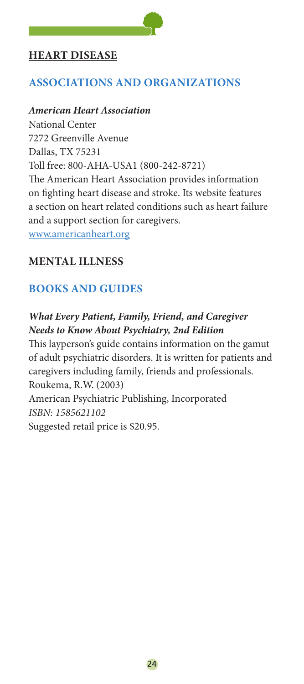# **Heart disease**

# **Associations and Organizations**

#### *American Heart Association*

National Center 7272 Greenville Avenue Dallas, TX 75231 Toll free: 800-AHA-USA1 (800-242-8721) The American Heart Association provides information on fighting heart disease and stroke. Its website features a section on heart related conditions such as heart failure and a support section for caregivers. www.americanheart.org

# **Mental illness**

# **Books and Guides**

# *What Every Patient, Family, Friend, and Caregiver Needs to Know About Psychiatry, 2nd Edition*

This layperson's guide contains information on the gamut of adult psychiatric disorders. It is written for patients and caregivers including family, friends and professionals. Roukema, R.W. (2003) American Psychiatric Publishing, Incorporated *ISBN: 1585621102* Suggested retail price is \$20.95.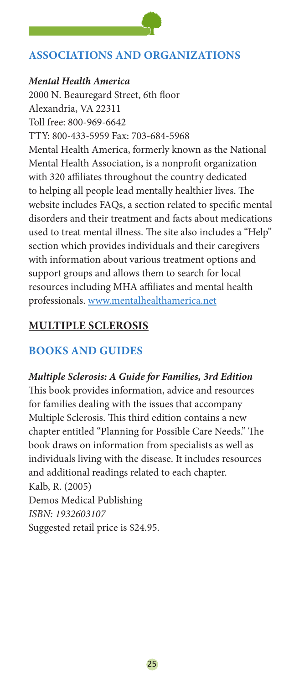# **Associations and Organizations**

#### *Mental Health America*

2000 N. Beauregard Street, 6th floor Alexandria, VA 22311 Toll free: 800-969-6642 TTY: 800-433-5959 Fax: 703-684-5968 Mental Health America, formerly known as the National Mental Health Association, is a nonprofit organization with 320 affiliates throughout the country dedicated to helping all people lead mentally healthier lives. The website includes FAQs, a section related to specific mental disorders and their treatment and facts about medications used to treat mental illness. The site also includes a "Help" section which provides individuals and their caregivers with information about various treatment options and support groups and allows them to search for local resources including MHA affiliates and mental health professionals. www.mentalhealthamerica.net

# **Multiple Sclerosis**

# **Books and Guides**

#### *Multiple Sclerosis: A Guide for Families, 3rd Edition*

This book provides information, advice and resources for families dealing with the issues that accompany Multiple Sclerosis. This third edition contains a new chapter entitled "Planning for Possible Care Needs." The book draws on information from specialists as well as individuals living with the disease. It includes resources and additional readings related to each chapter. Kalb, R. (2005) Demos Medical Publishing *ISBN: 1932603107* Suggested retail price is \$24.95.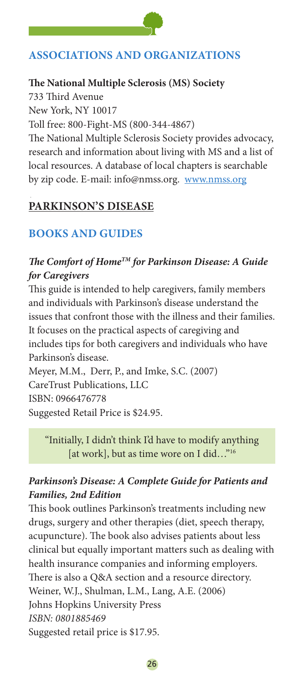# **Associations and Organizations**

# **The National Multiple Sclerosis (MS) Society**

733 Third Avenue New York, NY 10017 Toll free: 800-Fight-MS (800-344-4867) The National Multiple Sclerosis Society provides advocacy, research and information about living with MS and a list of local resources. A database of local chapters is searchable by zip code. E-mail: info@nmss.org. www.nmss.org

# **Parkinson's disease**

# **Books and Guides**

# *The Comfort of HomeTM for Parkinson Disease: A Guide for Caregivers*

This guide is intended to help caregivers, family members and individuals with Parkinson's disease understand the issues that confront those with the illness and their families. It focuses on the practical aspects of caregiving and includes tips for both caregivers and individuals who have Parkinson's disease.

Meyer, M.M., Derr, P., and Imke, S.C. (2007) CareTrust Publications, LLC ISBN: 0966476778 Suggested Retail Price is \$24.95.

"Initially, I didn't think I'd have to modify anything [at work], but as time wore on I did..."<sup>16</sup>

# *Parkinson's Disease: A Complete Guide for Patients and Families, 2nd Edition*

This book outlines Parkinson's treatments including new drugs, surgery and other therapies (diet, speech therapy, acupuncture). The book also advises patients about less clinical but equally important matters such as dealing with health insurance companies and informing employers. There is also a Q&A section and a resource directory. Weiner, W.J., Shulman, L.M., Lang, A.E. (2006) Johns Hopkins University Press *ISBN: 0801885469* Suggested retail price is \$17.95.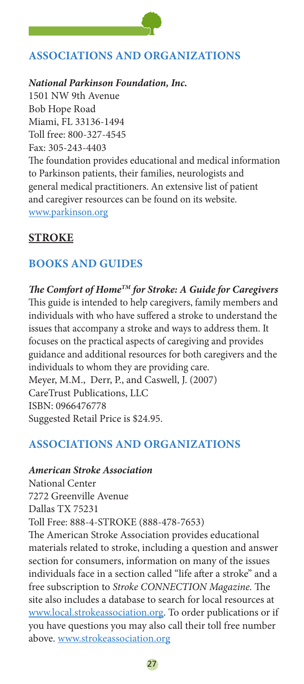# **Associations and Organizations**

*National Parkinson Foundation, Inc.*

1501 NW 9th Avenue Bob Hope Road Miami, FL 33136-1494 Toll free: 800-327-4545 Fax: 305-243-4403 The foundation provides educational and medical information to Parkinson patients, their families, neurologists and general medical practitioners. An extensive list of patient and caregiver resources can be found on its website. www.parkinson.org

#### **stroke**

# **Books and Guides**

*The Comfort of HomeTM for Stroke: A Guide for Caregivers* This guide is intended to help caregivers, family members and individuals with who have suffered a stroke to understand the issues that accompany a stroke and ways to address them. It focuses on the practical aspects of caregiving and provides guidance and additional resources for both caregivers and the individuals to whom they are providing care. Meyer, M.M., Derr, P., and Caswell, J. (2007) CareTrust Publications, LLC ISBN: 0966476778 Suggested Retail Price is \$24.95.

# **Associations and Organizations**

#### *American Stroke Association*

National Center 7272 Greenville Avenue Dallas TX 75231 Toll Free: 888-4-STROKE (888-478-7653) The American Stroke Association provides educational materials related to stroke, including a question and answer section for consumers, information on many of the issues individuals face in a section called "life after a stroke" and a free subscription to *Stroke CONNECTION Magazine.* The site also includes a database to search for local resources at www.local.strokeassociation.org. To order publications or if you have questions you may also call their toll free number above. www.strokeassociation.org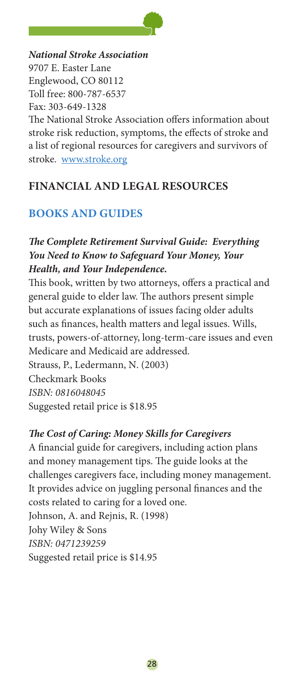

*National Stroke Association* 9707 E. Easter Lane Englewood, CO 80112 Toll free: 800-787-6537 Fax: 303-649-1328 The National Stroke Association offers information about stroke risk reduction, symptoms, the effects of stroke and a list of regional resources for caregivers and survivors of stroke. www.stroke.org

**financial and Legal resources**

# **Books and Guides**

# *The Complete Retirement Survival Guide: Everything You Need to Know to Safeguard Your Money, Your Health, and Your Independence.*

This book, written by two attorneys, offers a practical and general guide to elder law. The authors present simple but accurate explanations of issues facing older adults such as finances, health matters and legal issues. Wills, trusts, powers-of-attorney, long-term-care issues and even Medicare and Medicaid are addressed. Strauss, P., Ledermann, N. (2003)

Checkmark Books *ISBN: 0816048045* Suggested retail price is \$18.95

# *The Cost of Caring: Money Skills for Caregivers*

A financial guide for caregivers, including action plans and money management tips. The guide looks at the challenges caregivers face, including money management. It provides advice on juggling personal finances and the costs related to caring for a loved one. Johnson, A. and Rejnis, R. (1998) Johy Wiley & Sons *ISBN: 0471239259* Suggested retail price is \$14.95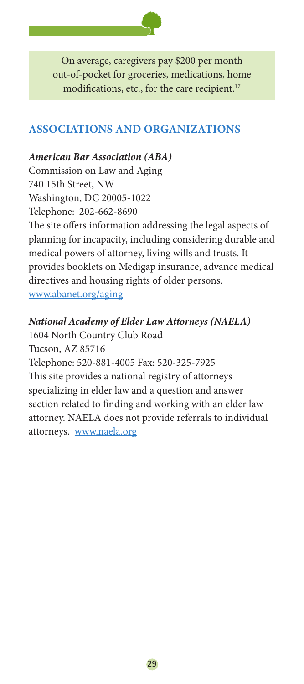

On average, caregivers pay \$200 per month out-of-pocket for groceries, medications, home modifications, etc., for the care recipient.<sup>17</sup>

# **Associations and Organizations**

### *American Bar Association (ABA)*

Commission on Law and Aging 740 15th Street, NW Washington, DC 20005-1022 Telephone: 202-662-8690 The site offers information addressing the legal aspects of planning for incapacity, including considering durable and medical powers of attorney, living wills and trusts. It provides booklets on Medigap insurance, advance medical directives and housing rights of older persons. www.abanet.org/aging

# *National Academy of Elder Law Attorneys (NAELA)*

1604 North Country Club Road Tucson, AZ 85716 Telephone: 520-881-4005 Fax: 520-325-7925 This site provides a national registry of attorneys specializing in elder law and a question and answer section related to finding and working with an elder law attorney. NAELA does not provide referrals to individual attorneys. www.naela.org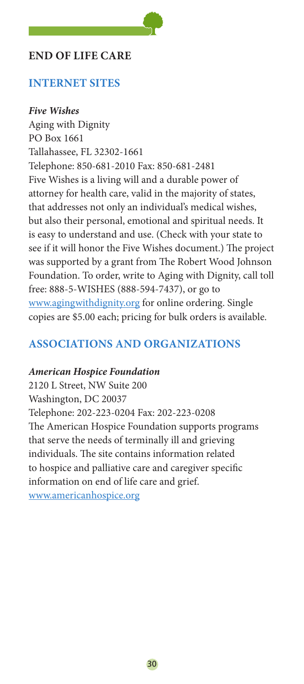# **End of life care**

# **Internet sites**

#### *Five Wishes*

Aging with Dignity PO Box 1661 Tallahassee, FL 32302-1661 Telephone: 850-681-2010 Fax: 850-681-2481 Five Wishes is a living will and a durable power of attorney for health care, valid in the majority of states, that addresses not only an individual's medical wishes, but also their personal, emotional and spiritual needs. It is easy to understand and use. (Check with your state to see if it will honor the Five Wishes document.) The project was supported by a grant from The Robert Wood Johnson Foundation. To order, write to Aging with Dignity, call toll free: 888-5-WISHES (888-594-7437), or go to www.agingwithdignity.org for online ordering. Single copies are \$5.00 each; pricing for bulk orders is available.

# **Associations and organizations**

#### *American Hospice Foundation*

2120 L Street, NW Suite 200 Washington, DC 20037 Telephone: 202-223-0204 Fax: 202-223-0208 The American Hospice Foundation supports programs that serve the needs of terminally ill and grieving individuals. The site contains information related to hospice and palliative care and caregiver specific information on end of life care and grief. www.americanhospice.org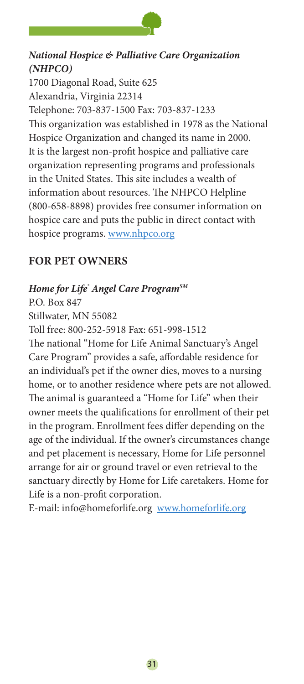

# *National Hospice & Palliative Care Organization (NHPCO)*

1700 Diagonal Road, Suite 625 Alexandria, Virginia 22314 Telephone: 703-837-1500 Fax: 703-837-1233 This organization was established in 1978 as the National Hospice Organization and changed its name in 2000. It is the largest non-profit hospice and palliative care organization representing programs and professionals in the United States. This site includes a wealth of information about resources. The NHPCO Helpline (800-658-8898) provides free consumer information on hospice care and puts the public in direct contact with hospice programs. www.nhpco.org

# **For pet owners**

#### *Home for Life® Angel Care ProgramSM*

P.O. Box 847

Stillwater, MN 55082

Toll free: 800-252-5918 Fax: 651-998-1512

The national "Home for Life Animal Sanctuary's Angel Care Program" provides a safe, affordable residence for an individual's pet if the owner dies, moves to a nursing home, or to another residence where pets are not allowed. The animal is guaranteed a "Home for Life" when their owner meets the qualifications for enrollment of their pet in the program. Enrollment fees differ depending on the age of the individual. If the owner's circumstances change and pet placement is necessary, Home for Life personnel arrange for air or ground travel or even retrieval to the sanctuary directly by Home for Life caretakers. Home for Life is a non-profit corporation.

E-mail: info@homeforlife.org www.homeforlife.org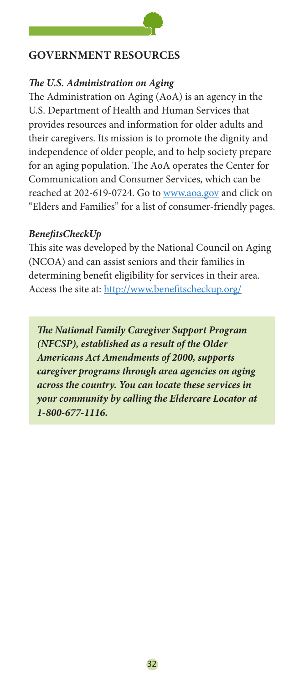# **Government resources**

# *The U.S. Administration on Aging*

The Administration on Aging (AoA) is an agency in the U.S. Department of Health and Human Services that provides resources and information for older adults and their caregivers. Its mission is to promote the dignity and independence of older people, and to help society prepare for an aging population. The AoA operates the Center for Communication and Consumer Services, which can be reached at 202-619-0724. Go to www.aoa.gov and click on "Elders and Families" for a list of consumer-friendly pages.

# *BenefitsCheckUp*

This site was developed by the National Council on Aging (NCOA) and can assist seniors and their families in determining benefit eligibility for services in their area. Access the site at: http://www.benefitscheckup.org/

*The National Family Caregiver Support Program (NFCSP), established as a result of the Older Americans Act Amendments of 2000, supports caregiver programs through area agencies on aging across the country. You can locate these services in your community by calling the Eldercare Locator at 1-800-677-1116.*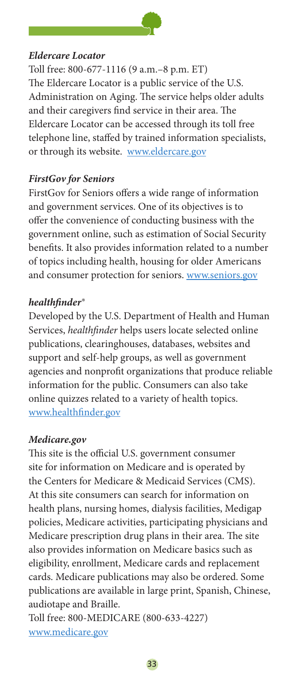

#### *Eldercare Locator*

Toll free: 800-677-1116 (9 a.m.–8 p.m. ET) The Eldercare Locator is a public service of the U.S. Administration on Aging. The service helps older adults and their caregivers find service in their area. The Eldercare Locator can be accessed through its toll free telephone line, staffed by trained information specialists, or through its website. www.eldercare.gov

#### *FirstGov for Seniors*

FirstGov for Seniors offers a wide range of information and government services. One of its objectives is to offer the convenience of conducting business with the government online, such as estimation of Social Security benefits. It also provides information related to a number of topics including health, housing for older Americans and consumer protection for seniors. www.seniors.gov

#### *healthfinder®*

Developed by the U.S. Department of Health and Human Services, *healthfinder* helps users locate selected online publications, clearinghouses, databases, websites and support and self-help groups, as well as government agencies and nonprofit organizations that produce reliable information for the public. Consumers can also take online quizzes related to a variety of health topics. www.healthfinder.gov

#### *Medicare.gov*

This site is the official U.S. government consumer site for information on Medicare and is operated by the Centers for Medicare & Medicaid Services (CMS). At this site consumers can search for information on health plans, nursing homes, dialysis facilities, Medigap policies, Medicare activities, participating physicians and Medicare prescription drug plans in their area. The site also provides information on Medicare basics such as eligibility, enrollment, Medicare cards and replacement cards. Medicare publications may also be ordered. Some publications are available in large print, Spanish, Chinese, audiotape and Braille.

Toll free: 800-MEDICARE (800-633-4227) www.medicare.gov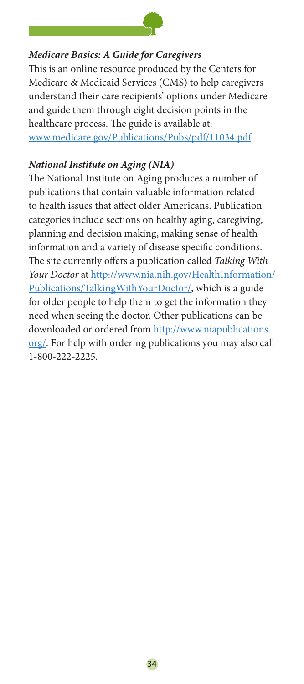

#### *Medicare Basics: A Guide for Caregivers*

This is an online resource produced by the Centers for Medicare & Medicaid Services (CMS) to help caregivers understand their care recipients' options under Medicare and guide them through eight decision points in the healthcare process. The guide is available at: www.medicare.gov/Publications/Pubs/pdf/11034.pdf

#### *National Institute on Aging (NIA)*

The National Institute on Aging produces a number of publications that contain valuable information related to health issues that affect older Americans. Publication categories include sections on healthy aging, caregiving, planning and decision making, making sense of health information and a variety of disease specific conditions. The site currently offers a publication called *Talking With Your Doctor* at http://www.nia.nih.gov/HealthInformation/ Publications/TalkingWithYourDoctor/, which is a guide for older people to help them to get the information they need when seeing the doctor. Other publications can be downloaded or ordered from http://www.niapublications. org/. For help with ordering publications you may also call 1-800-222-2225.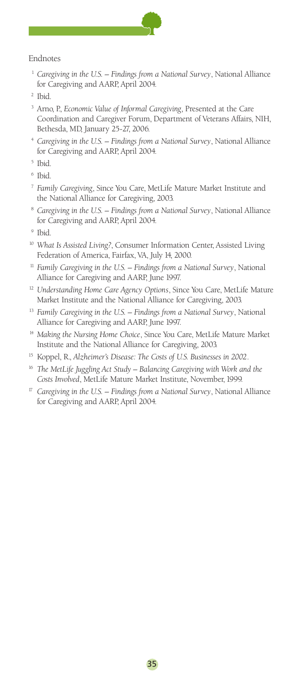

#### Endnotes

<sup>1</sup> Caregiving in the U.S. – Findings from a National Survey, National Alliance for Caregiving and AARP, April 2004.

- <sup>3</sup> Arno, P., *Economic Value of Informal Caregiving*, Presented at the Care Coordination and Caregiver Forum, Department of Veterans Affairs, NIH, Bethesda, MD, January 25-27, 2006.
- <sup>4</sup> *Caregiving in the U.S. Findings from a National Survey*, National Alliance for Caregiving and AARP, April 2004.
- <sup>5</sup> Ibid.
- <sup>6</sup> Ibid.
- <sup>7</sup> *Family Caregiving*, Since You Care, MetLife Mature Market Institute and the National Alliance for Caregiving, 2003.
- <sup>8</sup> *Caregiving in the U.S. Findings from a National Survey*, National Alliance for Caregiving and AARP, April 2004.
- <sup>9</sup> Ibid.
- <sup>10</sup> *What Is Assisted Living?*, Consumer Information Center, Assisted Living Federation of America, Fairfax, VA, July 14, 2000.
- <sup>11</sup> Family Caregiving in the U.S. Findings from a National Survey, National Alliance for Caregiving and AARP, June 1997.
- <sup>12</sup> Understanding Home Care Agency Options, Since You Care, MetLife Mature Market Institute and the National Alliance for Caregiving, 2003.
- <sup>13</sup> Family Caregiving in the U.S. Findings from a National Survey, National Alliance for Caregiving and AARP, June 1997.
- <sup>14</sup> Making the Nursing Home Choice, Since You Care, MetLife Mature Market Institute and the National Alliance for Caregiving, 2003.
- <sup>15</sup> Koppel, R., *Alzheimer's Disease: The Costs of U.S. Businesses in 2002*.
- <sup>16</sup> The MetLife Juggling Act Study Balancing Caregiving with Work and the *Costs Involved*, MetLife Mature Market Institute, November, 1999.
- <sup>17</sup> *Caregiving in the U.S.* Findings from a National Survey, National Alliance for Caregiving and AARP, April 2004.

<sup>&</sup>lt;sup>2</sup> Ibid.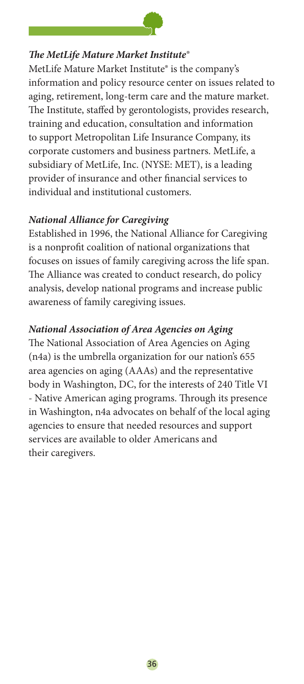

#### *The MetLife Mature Market Institute®*

MetLife Mature Market Institute® is the company's information and policy resource center on issues related to aging, retirement, long-term care and the mature market. The Institute, staffed by gerontologists, provides research, training and education, consultation and information to support Metropolitan Life Insurance Company, its corporate customers and business partners. MetLife, a subsidiary of MetLife, Inc. (NYSE: MET), is a leading provider of insurance and other financial services to individual and institutional customers.

#### *National Alliance for Caregiving*

Established in 1996, the National Alliance for Caregiving is a nonprofit coalition of national organizations that focuses on issues of family caregiving across the life span. The Alliance was created to conduct research, do policy analysis, develop national programs and increase public awareness of family caregiving issues.

#### *National Association of Area Agencies on Aging*

The National Association of Area Agencies on Aging (n4a) is the umbrella organization for our nation's 655 area agencies on aging (AAAs) and the representative body in Washington, DC, for the interests of 240 Title VI - Native American aging programs. Through its presence in Washington, n4a advocates on behalf of the local aging agencies to ensure that needed resources and support services are available to older Americans and their caregivers.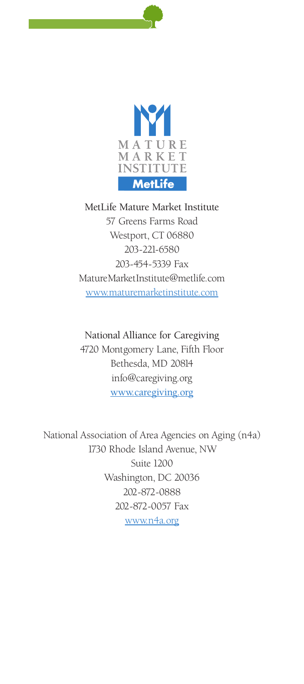

MetLife Mature Market Institute 57 Greens Farms Road Westport, CT 06880 203-221-6580 203-454-5339 Fax MatureMarketInstitute@metlife.com www.maturemarketinstitute.com

National Alliance for Caregiving 4720 Montgomery Lane, Fifth Floor Bethesda, MD 20814 info@caregiving.org www.caregiving.org

National Association of Area Agencies on Aging (n4a) 1730 Rhode Island Avenue, NW Suite 1200 Washington, DC 20036 202-872-0888 202-872-0057 Fax www.n4a.org